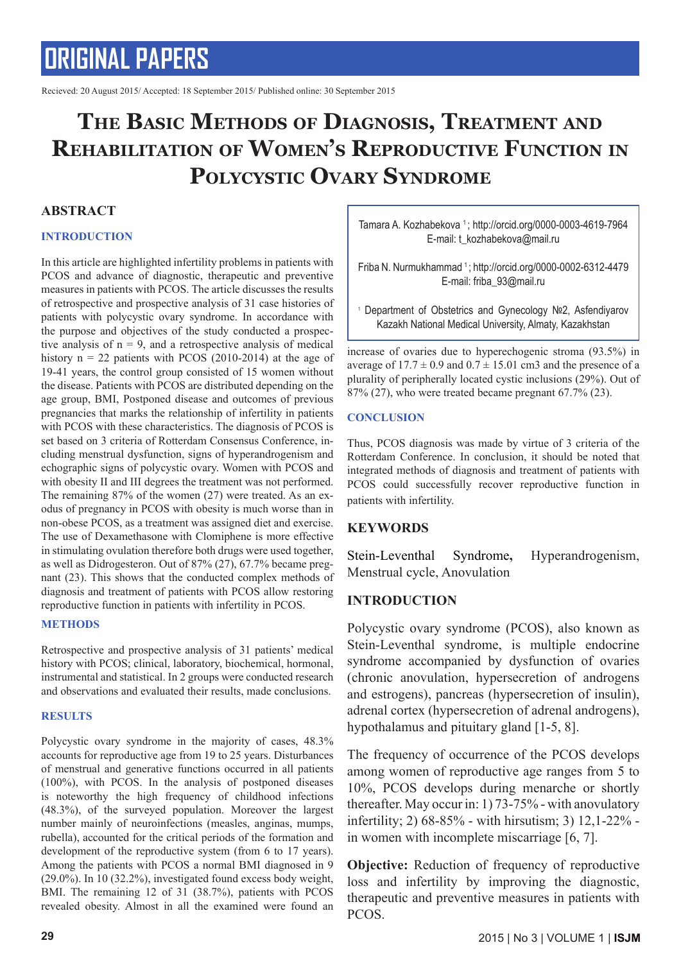Recieved: 20 August 2015/ Accepted: 18 September 2015/ Published online: 30 September 2015

### **The Basic Methods of Diagnosis, Treatment and Rehabilitation of Women's Reproductive Function in Polycystic Ovary Syndrome**

### **ABSTRACT**

### **INTRODUCTION**

In this article are highlighted infertility problems in patients with PCOS and advance of diagnostic, therapeutic and preventive measures in patients with PCOS. The article discusses the results of retrospective and prospective analysis of 31 case histories of patients with polycystic ovary syndrome. In accordance with the purpose and objectives of the study conducted a prospective analysis of  $n = 9$ , and a retrospective analysis of medical history  $n = 22$  patients with PCOS (2010-2014) at the age of 19-41 years, the control group consisted of 15 women without the disease. Patients with PCOS are distributed depending on the age group, BMI, Postponed disease and outcomes of previous pregnancies that marks the relationship of infertility in patients with PCOS with these characteristics. The diagnosis of PCOS is set based on 3 criteria of Rotterdam Consensus Conference, including menstrual dysfunction, signs of hyperandrogenism and echographic signs of polycystic ovary. Women with PCOS and with obesity II and III degrees the treatment was not performed. The remaining 87% of the women (27) were treated. As an exodus of pregnancy in PCOS with obesity is much worse than in non-obese PCOS, as a treatment was assigned diet and exercise. The use of Dexamethasone with Clomiphene is more effective in stimulating ovulation therefore both drugs were used together, as well as Didrogesteron. Out of 87% (27), 67.7% became pregnant (23). This shows that the conducted complex methods of diagnosis and treatment of patients with PCOS allow restoring reproductive function in patients with infertility in PCOS.

### **METHODS**

Retrospective and prospective analysis of 31 patients' medical history with PCOS; clinical, laboratory, biochemical, hormonal, instrumental and statistical. In 2 groups were conducted research and observations and evaluated their results, made conclusions.

### **RESULTS**

Polycystic ovary syndrome in the majority of cases, 48.3% accounts for reproductive age from 19 to 25 years. Disturbances of menstrual and generative functions occurred in all patients (100%), with PCOS. In the analysis of postponed diseases is noteworthy the high frequency of childhood infections (48.3%), of the surveyed population. Moreover the largest number mainly of neuroinfections (measles, anginas, mumps, rubella), accounted for the critical periods of the formation and development of the reproductive system (from 6 to 17 years). Among the patients with PCOS a normal BMI diagnosed in 9 (29.0%). In 10 (32.2%), investigated found excess body weight, BMI. The remaining 12 of 31 (38.7%), patients with PCOS revealed obesity. Almost in all the examined were found an

Tamara A. Kozhabekova <sup>1</sup>; http://orcid.org/0000-0003-4619-7964 E-mail: t\_kozhabekova@mail.ru

Friba N. Nurmukhammad 1 ; http://orcid.org/0000-0002-6312-4479 E-mail: friba\_93@mail.ru

1 Department of Obstetrics and Gynecology №2, Asfendiyarov Kazakh National Medical University, Almaty, Kazakhstan

increase of ovaries due to hyperechogenic stroma (93.5%) in average of  $17.7 \pm 0.9$  and  $0.7 \pm 15.01$  cm3 and the presence of a plurality of peripherally located cystic inclusions (29%). Out of 87% (27), who were treated became pregnant 67.7% (23).

### **CONCLUSION**

Thus, PCOS diagnosis was made by virtue of 3 criteria of the Rotterdam Conference. In conclusion, it should be noted that integrated methods of diagnosis and treatment of patients with PCOS could successfully recover reproductive function in patients with infertility.

### **KEYWORDS**

Stein-Leventhal Syndrome**,** Hyperandrogenism, Menstrual cycle, Anovulation

### **INTRODUCTION**

Polycystic ovary syndrome (PCOS), also known as Stein-Leventhal syndrome, is multiple endocrine syndrome accompanied by dysfunction of ovaries (chronic anovulation, hypersecretion of androgens and estrogens), pancreas (hypersecretion of insulin), adrenal cortex (hypersecretion of adrenal androgens), hypothalamus and pituitary gland [1-5, 8].

The frequency of occurrence of the PCOS develops among women of reproductive age ranges from 5 to 10%, PCOS develops during menarche or shortly thereafter. May occur in: 1) 73-75% - with anovulatory infertility; 2) 68-85% - with hirsutism; 3) 12,1-22% in women with incomplete miscarriage [6, 7].

**Objective:** Reduction of frequency of reproductive loss and infertility by improving the diagnostic, therapeutic and preventive measures in patients with PCOS.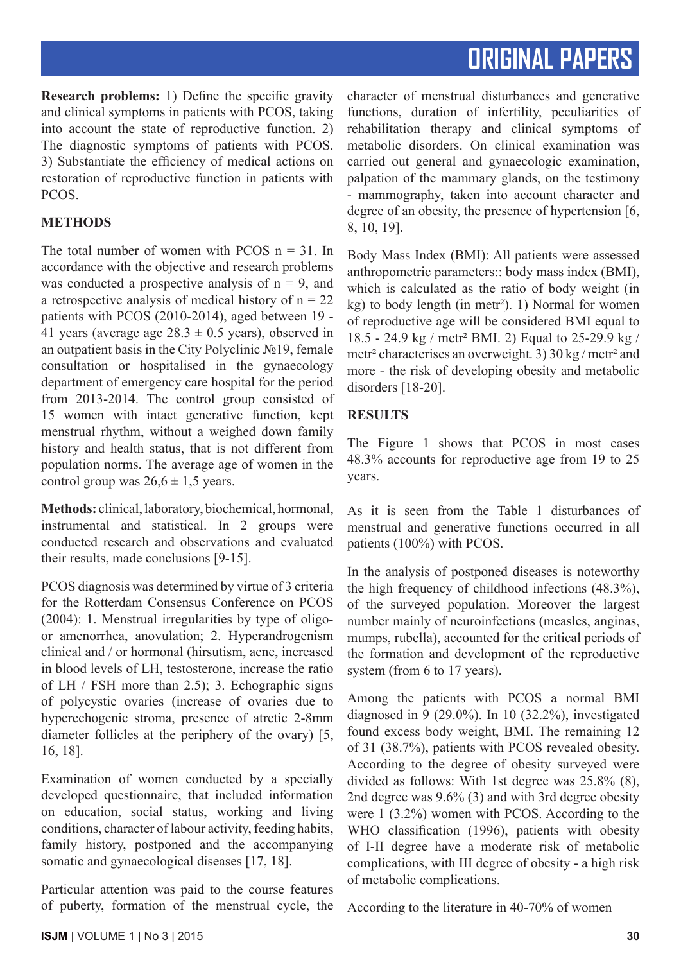**Research problems:** 1) Define the specific gravity and clinical symptoms in patients with PCOS, taking into account the state of reproductive function. 2) The diagnostic symptoms of patients with PCOS. 3) Substantiate the efficiency of medical actions on restoration of reproductive function in patients with PCOS.

### **METHODS**

The total number of women with PCOS  $n = 31$ . In accordance with the objective and research problems was conducted a prospective analysis of  $n = 9$ , and a retrospective analysis of medical history of  $n = 22$ patients with PCOS (2010-2014), aged between 19 - 41 years (average age  $28.3 \pm 0.5$  years), observed in an outpatient basis in the City Polyclinic №19, female consultation or hospitalised in the gynaecology department of emergency care hospital for the period from 2013-2014. The control group consisted of 15 women with intact generative function, kept menstrual rhythm, without a weighed down family history and health status, that is not different from population norms. The average age of women in the control group was  $26.6 \pm 1.5$  years.

**Methods:** clinical, laboratory, biochemical, hormonal, instrumental and statistical. In 2 groups were conducted research and observations and evaluated their results, made conclusions [9-15].

PCOS diagnosis was determined by virtue of 3 criteria for the Rotterdam Consensus Conference on PCOS (2004): 1. Menstrual irregularities by type of oligoor amenorrhea, anovulation; 2. Hyperandrogenism clinical and / or hormonal (hirsutism, acne, increased in blood levels of LH, testosterone, increase the ratio of LH / FSH more than 2.5); 3. Echographic signs of polycystic ovaries (increase of ovaries due to hyperechogenic stroma, presence of atretic 2-8mm diameter follicles at the periphery of the ovary) [5, 16, 18].

Examination of women conducted by a specially developed questionnaire, that included information on education, social status, working and living conditions, character of labour activity, feeding habits, family history, postponed and the accompanying somatic and gynaecological diseases [17, 18].

Particular attention was paid to the course features of puberty, formation of the menstrual cycle, the character of menstrual disturbances and generative functions, duration of infertility, peculiarities of rehabilitation therapy and clinical symptoms of metabolic disorders. On clinical examination was carried out general and gynaecologic examination, palpation of the mammary glands, on the testimony - mammography, taken into account character and degree of an obesity, the presence of hypertension [6, 8, 10, 19].

Body Mass Index (BMI): All patients were assessed anthropometric parameters:: body mass index (BMI), which is calculated as the ratio of body weight (in kg) to body length (in metr²). 1) Normal for women of reproductive age will be considered BMI equal to 18.5 - 24.9 kg / metr² BMI. 2) Equal to 25-29.9 kg / metr² characterises an overweight. 3) 30 kg / metr² and more - the risk of developing obesity and metabolic disorders [18-20].

### **RESULTS**

The Figure 1 shows that PCOS in most cases 48.3% accounts for reproductive age from 19 to 25 years.

As it is seen from the Table 1 disturbances of menstrual and generative functions occurred in all patients (100%) with PCOS.

In the analysis of postponed diseases is noteworthy the high frequency of childhood infections (48.3%), of the surveyed population. Moreover the largest number mainly of neuroinfections (measles, anginas, mumps, rubella), accounted for the critical periods of the formation and development of the reproductive system (from 6 to 17 years).

Among the patients with PCOS a normal BMI diagnosed in 9 (29.0%). In 10 (32.2%), investigated found excess body weight, BMI. The remaining 12 of 31 (38.7%), patients with PCOS revealed obesity. According to the degree of obesity surveyed were divided as follows: With 1st degree was 25.8% (8), 2nd degree was 9.6% (3) and with 3rd degree obesity were 1 (3.2%) women with PCOS. According to the WHO classification (1996), patients with obesity of I-II degree have a moderate risk of metabolic complications, with III degree of obesity - a high risk of metabolic complications.

According to the literature in 40-70% of women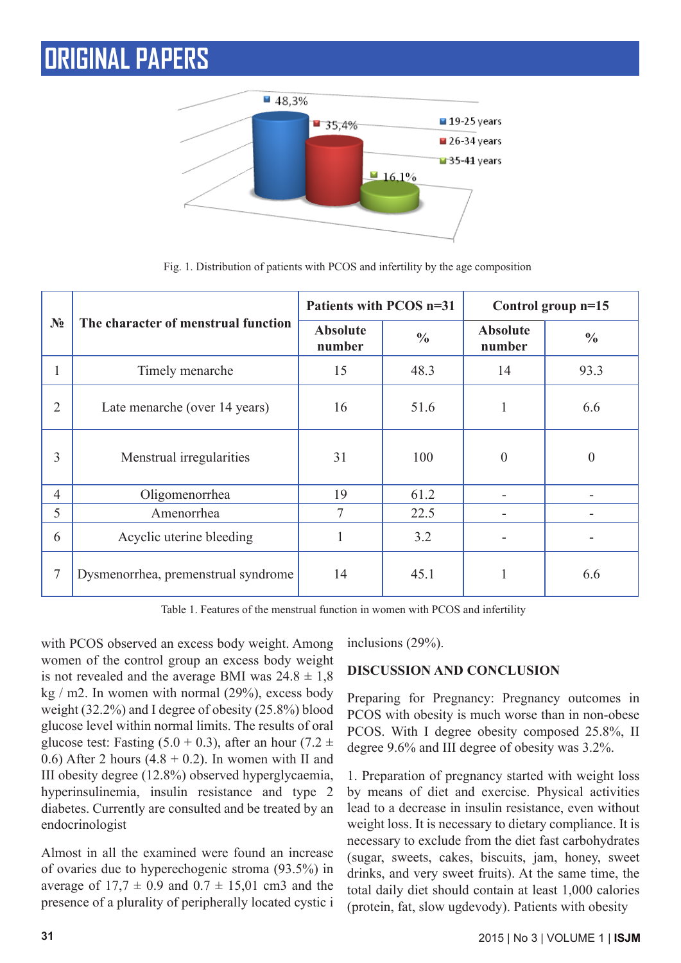

**№ The character of menstrual function Patients with PCOS n=31** Control group n=15 **Absolute number % Absolute**  Absolute  $\begin{array}{c} \circ \\ \circ \\ \circ \end{array}$  1 1 Timely menarche 15 48.3 14 93.3 2 Late menarche (over 14 years) 1 16 1 51.6 1 1 5.6 3 Menstrual irregularities 1 31 100 0 0 4 Oligomenorrhea 19 61.2 - 1 5 Amenorrhea 7 22.5 6 Acyclic uterine bleeding 1 3.2 7 Dysmenorrhea, premenstrual syndrome 14 a5.1 1 6.6

Fig. 1. Distribution of patients with PCOS and infertility by the age composition

Table 1. Features of the menstrual function in women with PCOS and infertility

with PCOS observed an excess body weight. Among women of the control group an excess body weight is not revealed and the average BMI was  $24.8 \pm 1.8$ kg  $/m2$ . In women with normal  $(29\%)$ , excess body weight (32.2%) and I degree of obesity (25.8%) blood glucose level within normal limits. The results of oral glucose test: Fasting  $(5.0 + 0.3)$ , after an hour  $(7.2 \pm 1.0)$ 0.6) After 2 hours  $(4.8 + 0.2)$ . In women with II and III obesity degree (12.8%) observed hyperglycaemia, hyperinsulinemia, insulin resistance and type 2 diabetes. Currently are consulted and be treated by an endocrinologist

Almost in all the examined were found an increase of ovaries due to hyperechogenic stroma (93.5%) in average of  $17.7 \pm 0.9$  and  $0.7 \pm 15.01$  cm3 and the presence of a plurality of peripherally located cystic i inclusions (29%).

### **DISCUSSION AND CONCLUSION**

Preparing for Pregnancy: Pregnancy outcomes in PCOS with obesity is much worse than in non-obese PCOS. With I degree obesity composed 25.8%, II degree 9.6% and III degree of obesity was 3.2%.

1. Preparation of pregnancy started with weight loss by means of diet and exercise. Physical activities lead to a decrease in insulin resistance, even without weight loss. It is necessary to dietary compliance. It is necessary to exclude from the diet fast carbohydrates (sugar, sweets, cakes, biscuits, jam, honey, sweet drinks, and very sweet fruits). At the same time, the total daily diet should contain at least 1,000 calories (protein, fat, slow ugdevody). Patients with obesity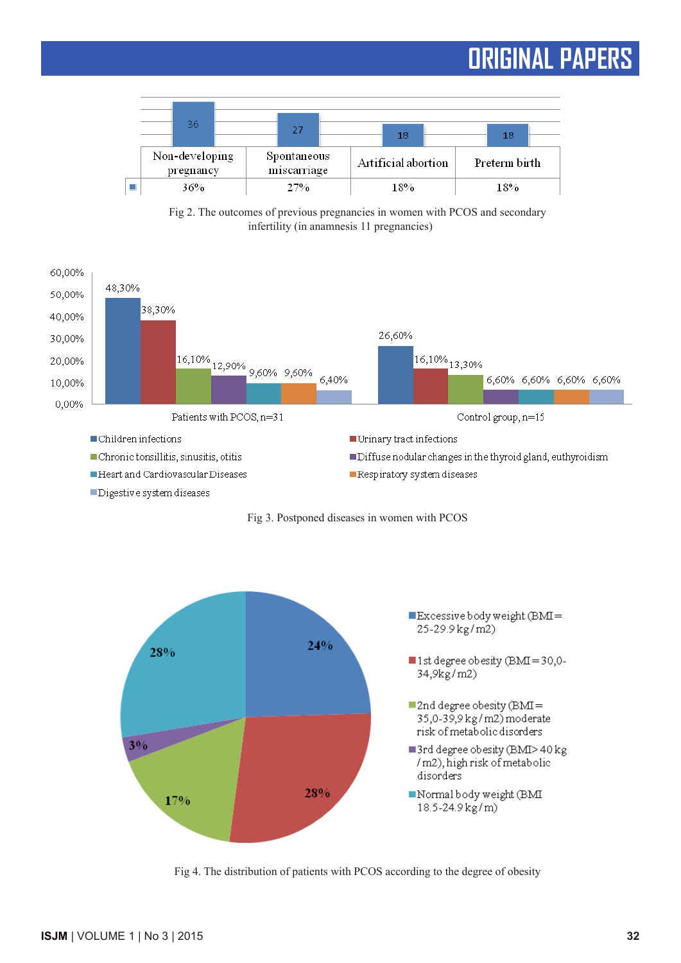





Digestive system diseases





Fig 4. The distribution of patients with PCOS according to the degree of obesity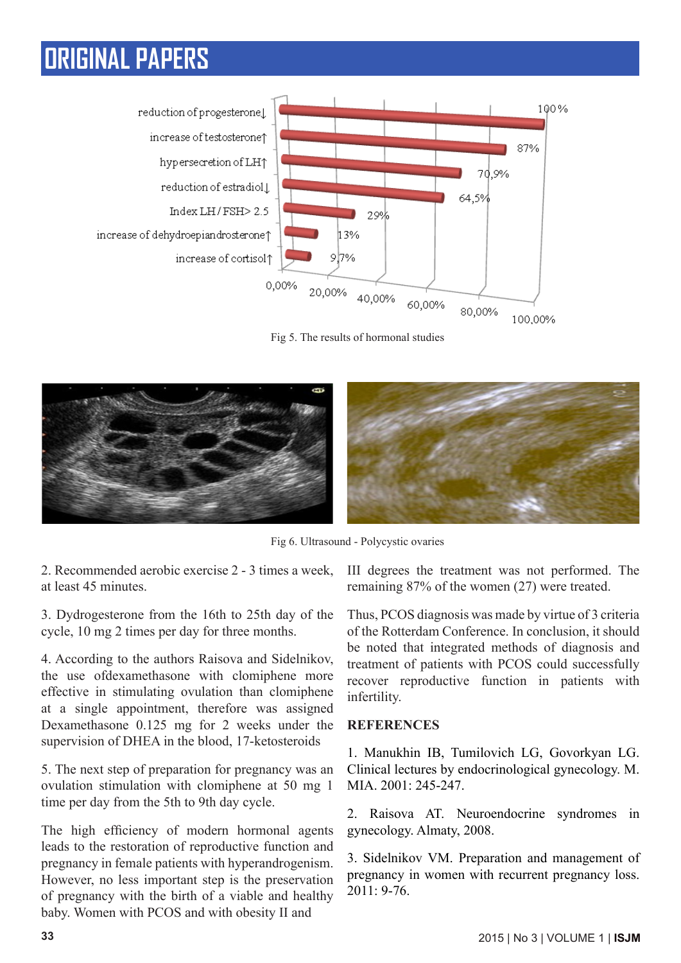

Fig 5. The results of hormonal studies



Fig 6. Ultrasound - Polycystic ovaries

2. Recommended aerobic exercise 2 - 3 times a week, at least 45 minutes.

3. Dydrogesterone from the 16th to 25th day of the cycle, 10 mg 2 times per day for three months.

4. According to the authors Raisova and Sidelnikov, the use ofdexamethasone with clomiphene more effective in stimulating ovulation than clomiphene at a single appointment, therefore was assigned Dexamethasone 0.125 mg for 2 weeks under the supervision of DHEA in the blood, 17-ketosteroids

5. The next step of preparation for pregnancy was an ovulation stimulation with clomiphene at 50 mg 1 time per day from the 5th to 9th day cycle.

The high efficiency of modern hormonal agents leads to the restoration of reproductive function and pregnancy in female patients with hyperandrogenism. However, no less important step is the preservation of pregnancy with the birth of a viable and healthy baby. Women with PCOS and with obesity II and

III degrees the treatment was not performed. The remaining 87% of the women (27) were treated.

Thus, PCOS diagnosis was made by virtue of 3 criteria of the Rotterdam Conference. In conclusion, it should be noted that integrated methods of diagnosis and treatment of patients with PCOS could successfully recover reproductive function in patients with infertility.

### **REFERENCES**

1. Manukhin IB, Tumilovich LG, Govorkyan LG. Clinical lectures by endocrinological gynecology. M.  $MIA$  2001: 245-247

2. Raisova AT. Neuroendocrine syndromes in gynecology. Almaty, 2008.

3. Sidelnikov VM. Preparation and management of pregnancy in women with recurrent pregnancy loss. 2011: 9-76.